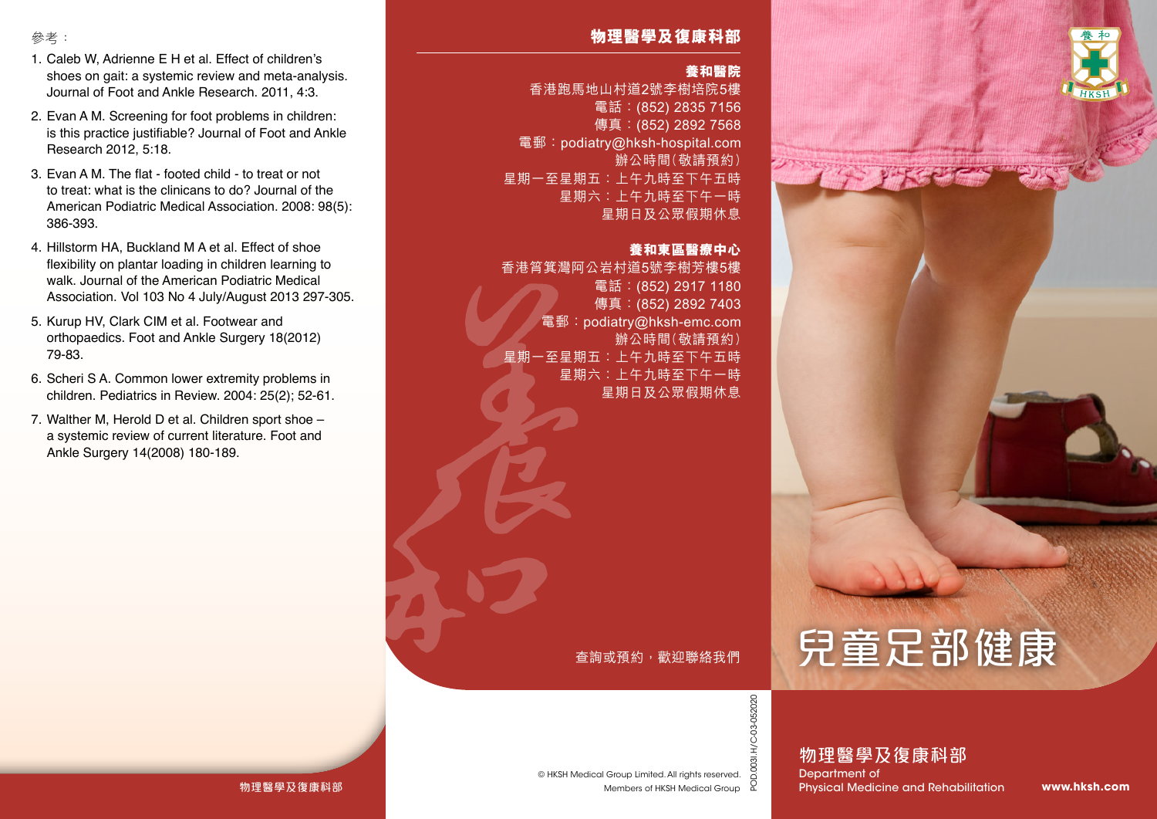

# 參考:

- 1. Caleb W, Adrienne E H et al. Effect of children's shoes on gait: a systemic review and meta-analysis. Journal of Foot and Ankle Research. 2011, 4:3.
- 2. Evan A M. Screening for foot problems in children: is this practice justifiable? Journal of Foot and Ankle Research 2012, 5:18.
- 3. Evan A M. The flat footed child to treat or not to treat: what is the clinicans to do? Journal of the American Podiatric Medical Association. 2008: 98(5): 386-393.
- 4. Hillstorm HA, Buckland M A et al. Effect of shoe flexibility on plantar loading in children learning to walk. Journal of the American Podiatric Medical Association. Vol 103 No 4 July/August 2013 297-305.
- 5. Kurup HV, Clark CIM et al. Footwear and orthopaedics. Foot and Ankle Surgery 18(2012) 79-83.
- 6. Scheri S A. Common lower extremity problems in children. Pediatrics in Review. 2004: 25(2); 52-61.
- 7. Walther M, Herold D et al. Children sport shoe a systemic review of current literature. Foot and Ankle Surgery 14(2008) 180-189.

# **物理醫學及復康科部**

## **養和醫院**

香港跑馬地山村道2號李樹培院5樓 電話:(852) 2835 7156 傳真: (852) 2892 7568 電郵:podiatry@hksh-hospital.com 辦公時間(敬請預約) 星期一至星期五:上午九時至下午五時 星期六:上午九時至下午一時 星期日及公眾假期休息

### **養和東區醫療中心**

香港筲箕灣阿公岩村道5號李樹芳樓5樓 電話:(852) 2917 1180 傳真:(852) 2892 7403 電郵:podiatry@hksh-emc.com 辦公時間(敬請預約) 星期一至星期五:上午九時至下午五時 星期六:上午九時至下午一時 星期日及公眾假期休息

查詢或預約,歡迎聯絡我們

Members of HKSH Medical Group

© HKSH Medical Group Limited. All rights reserved.



POD.003I.H/C-03-052020

POD.003I.H/C-03-052020

物理醫學及復康科部 Department of Physical Medicine and Rehabilitation

**www.hksh.com**

### 物理醫學及復康科部